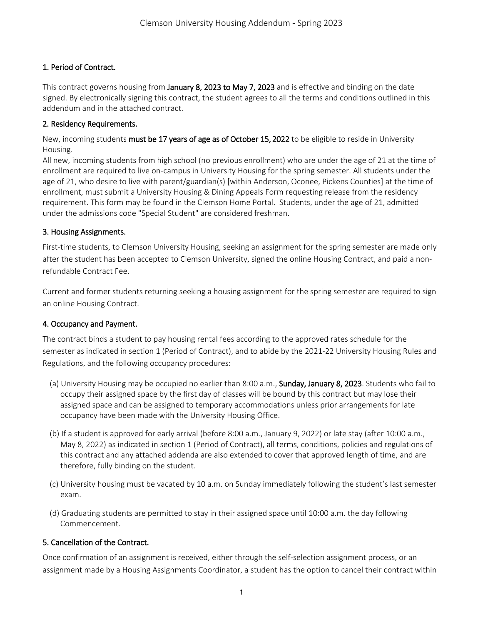# 1. Period of Contract.

This contract governs housing from January 8, 2023 to May 7, 2023 and is effective and binding on the date signed. By electronically signing this contract, the student agrees to all the terms and conditions outlined in this addendum and in the attached contract.

## 2. Residency Requirements.

New, incoming students must be 17 years of age as of October 15, 2022 to be eligible to reside in University Housing.

All new, incoming students from high school (no previous enrollment) who are under the age of 21 at the time of enrollment are required to live on-campus in University Housing for the spring semester. All students under the age of 21, who desire to live with parent/guardian(s) [within Anderson, Oconee, Pickens Counties] at the time of enrollment, must submit a University Housing & Dining Appeals Form requesting release from the residency requirement. This form may be found in the Clemson Home Portal. Students, under the age of 21, admitted under the admissions code "Special Student" are considered freshman.

## 3. Housing Assignments.

First-time students, to Clemson University Housing, seeking an assignment for the spring semester are made only after the student has been accepted to Clemson University, signed the online Housing Contract, and paid a nonrefundable Contract Fee.

Current and former students returning seeking a housing assignment for the spring semester are required to sign an online Housing Contract.

## 4. Occupancy and Payment.

The contract binds a student to pay housing rental fees according to the approved rates schedule for the semester as indicated in section 1 (Period of Contract), and to abide by the 2021-22 University Housing Rules and Regulations, and the following occupancy procedures:

- (a) University Housing may be occupied no earlier than 8:00 a.m., Sunday, January 8, 2023. Students who fail to occupy their assigned space by the first day of classes will be bound by this contract but may lose their assigned space and can be assigned to temporary accommodations unless prior arrangements for late occupancy have been made with the University Housing Office.
- (b) If a student is approved for early arrival (before 8:00 a.m., January 9, 2022) or late stay (after 10:00 a.m., May 8, 2022) as indicated in section 1 (Period of Contract), all terms, conditions, policies and regulations of this contract and any attached addenda are also extended to cover that approved length of time, and are therefore, fully binding on the student.
- (c) University housing must be vacated by 10 a.m. on Sunday immediately following the student's last semester exam.
- (d) Graduating students are permitted to stay in their assigned space until 10:00 a.m. the day following Commencement.

## 5. Cancellation of the Contract.

Once confirmation of an assignment is received, either through the self-selection assignment process, or an assignment made by a Housing Assignments Coordinator, a student has the option to cancel their contract within